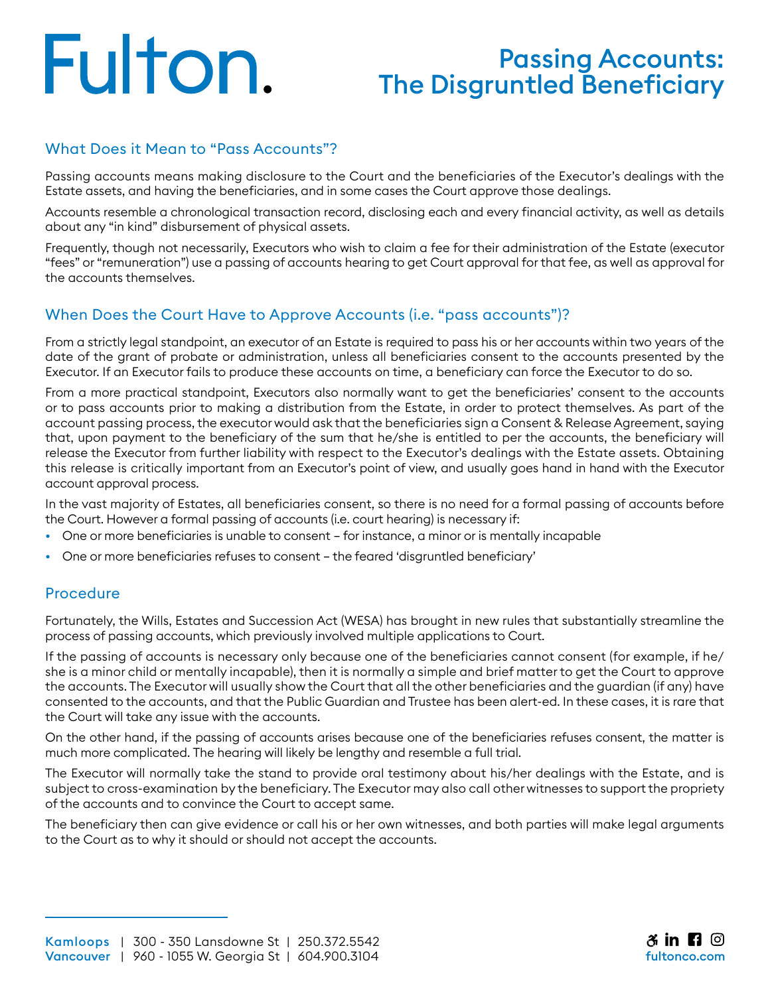# Fulton.

## Passing Accounts: The Disgruntled Beneficiary

## What Does it Mean to "Pass Accounts"?

Passing accounts means making disclosure to the Court and the beneficiaries of the Executor's dealings with the Estate assets, and having the beneficiaries, and in some cases the Court approve those dealings.

Accounts resemble a chronological transaction record, disclosing each and every financial activity, as well as details about any "in kind" disbursement of physical assets.

Frequently, though not necessarily, Executors who wish to claim a fee for their administration of the Estate (executor "fees" or "remuneration") use a passing of accounts hearing to get Court approval for that fee, as well as approval for the accounts themselves.

## When Does the Court Have to Approve Accounts (i.e. "pass accounts")?

From a strictly legal standpoint, an executor of an Estate is required to pass his or her accounts within two years of the date of the grant of probate or administration, unless all beneficiaries consent to the accounts presented by the Executor. If an Executor fails to produce these accounts on time, a beneficiary can force the Executor to do so.

From a more practical standpoint, Executors also normally want to get the beneficiaries' consent to the accounts or to pass accounts prior to making a distribution from the Estate, in order to protect themselves. As part of the account passing process, the executor would ask that the beneficiaries sign a Consent & Release Agreement, saying that, upon payment to the beneficiary of the sum that he/she is entitled to per the accounts, the beneficiary will release the Executor from further liability with respect to the Executor's dealings with the Estate assets. Obtaining this release is critically important from an Executor's point of view, and usually goes hand in hand with the Executor account approval process.

In the vast majority of Estates, all beneficiaries consent, so there is no need for a formal passing of accounts before the Court. However a formal passing of accounts (i.e. court hearing) is necessary if:

- One or more beneficiaries is unable to consent for instance, a minor or is mentally incapable
- One or more beneficiaries refuses to consent the feared 'disgruntled beneficiary'

## Procedure

Fortunately, the Wills, Estates and Succession Act (WESA) has brought in new rules that substantially streamline the process of passing accounts, which previously involved multiple applications to Court.

If the passing of accounts is necessary only because one of the beneficiaries cannot consent (for example, if he/ she is a minor child or mentally incapable), then it is normally a simple and brief matter to get the Court to approve the accounts. The Executor will usually show the Court that all the other beneficiaries and the guardian (if any) have consented to the accounts, and that the Public Guardian and Trustee has been alert-ed. In these cases, it is rare that the Court will take any issue with the accounts.

On the other hand, if the passing of accounts arises because one of the beneficiaries refuses consent, the matter is much more complicated. The hearing will likely be lengthy and resemble a full trial.

The Executor will normally take the stand to provide oral testimony about his/her dealings with the Estate, and is subject to cross-examination by the beneficiary. The Executor may also call other witnesses to support the propriety of the accounts and to convince the Court to accept same.

The beneficiary then can give evidence or call his or her own witnesses, and both parties will make legal arguments to the Court as to why it should or should not accept the accounts.